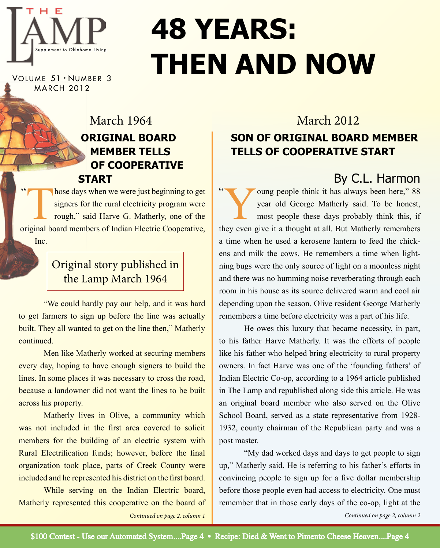

# **48 Years: Then and now**

VOLUME 51 · NUMBER 3 MARCH 2012

### **original board member tells of cooperative start** March 1964 March 2012

 $\overline{\phantom{a}}$ hose days when we were just beginning to get signers for the rural electricity program were rough," said Harve G. Matherly, one of the original board members of Indian Electric Cooperative, Inc.

### Original story published in the Lamp March 1964

"We could hardly pay our help, and it was hard to get farmers to sign up before the line was actually built. They all wanted to get on the line then," Matherly continued.

Men like Matherly worked at securing members every day, hoping to have enough signers to build the lines. In some places it was necessary to cross the road, because a landowner did not want the lines to be built across his property.

Matherly lives in Olive, a community which was not included in the first area covered to solicit members for the building of an electric system with Rural Electrification funds; however, before the final organization took place, parts of Creek County were included and he represented his district on the first board.

While serving on the Indian Electric board, Matherly represented this cooperative on the board of

### **son of original board member tells of cooperative start**

By C.L. Harmon

 $\sim$ oung people think it has always been here," 88 year old George Matherly said. To be honest, most people these days probably think this, if they even give it a thought at all. But Matherly remembers a time when he used a kerosene lantern to feed the chickens and milk the cows. He remembers a time when lightning bugs were the only source of light on a moonless night and there was no humming noise reverberating through each room in his house as its source delivered warm and cool air depending upon the season. Olive resident George Matherly remembers a time before electricity was a part of his life.

He owes this luxury that became necessity, in part, to his father Harve Matherly. It was the efforts of people like his father who helped bring electricity to rural property owners. In fact Harve was one of the 'founding fathers' of Indian Electric Co-op, according to a 1964 article published in The Lamp and republished along side this article. He was an original board member who also served on the Olive School Board, served as a state representative from 1928- 1932, county chairman of the Republican party and was a post master.

"My dad worked days and days to get people to sign up," Matherly said. He is referring to his father's efforts in convincing people to sign up for a five dollar membership before those people even had access to electricity. One must remember that in those early days of the co-op, light at the *Continued on page 2, column 1 Continued on page 2, column 2*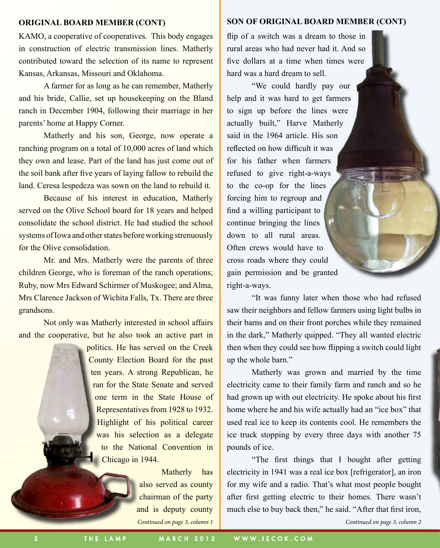KAMO, a cooperative of cooperatives. This body engages in construction of electric transmission lines. Matherly contributed toward the selection of its name to represent Kansas, Arkansas, Missouri and Oklahoma.

A farmer for as long as he can remember, Matherly and his bride, Callie, set up housekeeping on the Bland ranch in December 1904, following their marriage in her parents' home at Happy Corner.

Matherly and his son, George, now operate a ranching program on a total of 10,000 acres of land which they own and lease. Part of the land has just come out of the soil bank after five years of laying fallow to rebuild the land. Ceresa lespedeza was sown on the land to rebuild it.

Because of his interest in education, Matherly served on the Olive School board for 18 years and helped consolidate the school district. He had studied the school systems of Iowa and other states before working strenuously for the Olive consolidation.

Mr. and Mrs. Matherly were the parents of three children George, who is foreman of the ranch operations; Ruby, now Mrs Edward Schirmer of Muskogee; and Alma, Mrs Clarence Jackson of Wichita Falls, Tx. There are three grandsons.

Not only was Matherly interested in school affairs and the cooperative, but he also took an active part in

> politics. He has served on the Creek County Election Board for the past ten years. A strong Republican, he ran for the State Senate and served one term in the State House of Representatives from 1928 to 1932. Highlight of his political career was his selection as a delegate to the National Convention in Chicago in 1944.

> > *Continued on page 3, column 1* Matherly has also served as county chairman of the party and is deputy county

#### **Original Board Member (cont) Son of Original Board Member (cont)**

flip of a switch was a dream to those in rural areas who had never had it. And so five dollars at a time when times were hard was a hard dream to sell.

"We could hardly pay our help and it was hard to get farmers to sign up before the lines were actually built," Harve Matherly said in the 1964 article. His son reflected on how difficult it was for his father when farmers refused to give right-a-ways to the co-op for the lines forcing him to regroup and find a willing participant to continue bringing the lines down to all rural areas. Often crews would have to cross roads where they could gain permission and be granted right-a-ways.

"It was funny later when those who had refused saw their neighbors and fellow farmers using light bulbs in their barns and on their front porches while they remained in the dark," Matherly quipped. "They all wanted electric then when they could see how flipping a switch could light up the whole barn."

Matherly was grown and married by the time electricity came to their family farm and ranch and so he had grown up with out electricity. He spoke about his first home where he and his wife actually had an "ice box" that used real ice to keep its contents cool. He remembers the ice truck stopping by every three days with another 75 pounds of ice.

"The first things that I bought after getting electricity in 1941 was a real ice box [refrigerator], an iron for my wife and a radio. That's what most people bought after first getting electric to their homes. There wasn't much else to buy back then," he said. "After that first iron,

*Continued on page 3, column 2*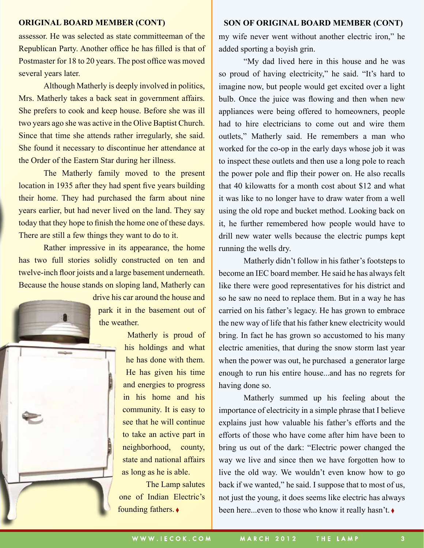assessor. He was selected as state committeeman of the Republican Party. Another office he has filled is that of Postmaster for 18 to 20 years. The post office was moved several years later.

Although Matherly is deeply involved in politics, Mrs. Matherly takes a back seat in government affairs. She prefers to cook and keep house. Before she was ill two years ago she was active in the Olive Baptist Church. Since that time she attends rather irregularly, she said. She found it necessary to discontinue her attendance at the Order of the Eastern Star during her illness.

The Matherly family moved to the present location in 1935 after they had spent five years building their home. They had purchased the farm about nine years earlier, but had never lived on the land. They say today that they hope to finish the home one of these days. There are still a few things they want to do to it.

Rather impressive in its appearance, the home has two full stories solidly constructed on ten and twelve-inch floor joists and a large basement underneath. Because the house stands on sloping land, Matherly can



drive his car around the house and park it in the basement out of the weather.

> Matherly is proud of his holdings and what he has done with them. He has given his time and energies to progress in his home and his community. It is easy to see that he will continue to take an active part in neighborhood, county, state and national affairs as long as he is able.

The Lamp salutes one of Indian Electric's founding fathers. ◊

#### **ORIGINAL BOARD MEMBER (CONT)** SON OF ORIGINAL BOARD MEMBER (CONT)

my wife never went without another electric iron," he added sporting a boyish grin.

"My dad lived here in this house and he was so proud of having electricity," he said. "It's hard to imagine now, but people would get excited over a light bulb. Once the juice was flowing and then when new appliances were being offered to homeowners, people had to hire electricians to come out and wire them outlets," Matherly said. He remembers a man who worked for the co-op in the early days whose job it was to inspect these outlets and then use a long pole to reach the power pole and flip their power on. He also recalls that 40 kilowatts for a month cost about \$12 and what it was like to no longer have to draw water from a well using the old rope and bucket method. Looking back on it, he further remembered how people would have to drill new water wells because the electric pumps kept running the wells dry.

Matherly didn't follow in his father's footsteps to become an IEC board member. He said he has always felt like there were good representatives for his district and so he saw no need to replace them. But in a way he has carried on his father's legacy. He has grown to embrace the new way of life that his father knew electricity would bring. In fact he has grown so accustomed to his many electric amenities, that during the snow storm last year when the power was out, he purchased a generator large enough to run his entire house...and has no regrets for having done so.

Matherly summed up his feeling about the importance of electricity in a simple phrase that I believe explains just how valuable his father's efforts and the efforts of those who have come after him have been to bring us out of the dark: "Electric power changed the way we live and since then we have forgotten how to live the old way. We wouldn't even know how to go back if we wanted," he said. I suppose that to most of us, not just the young, it does seems like electric has always been here...even to those who know it really hasn't.  $\bullet$